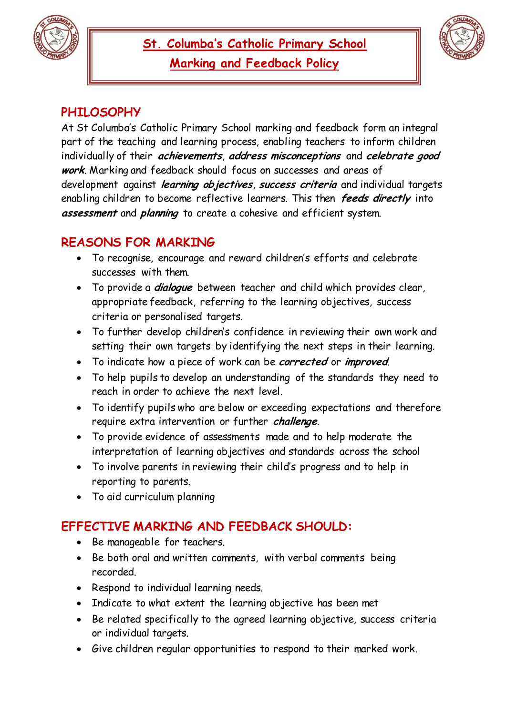



# **PHILOSOPHY**

At St Columba's Catholic Primary School marking and feedback form an integral part of the teaching and learning process, enabling teachers to inform children individually of their **achievements**, **address misconceptions** and **celebrate good work**. Marking and feedback should focus on successes and areas of development against **learning objectives**, **success criteria** and individual targets enabling children to become reflective learners. This then **feeds directly** into **assessment** and **planning** to create a cohesive and efficient system.

## **REASONS FOR MARKING**

- To recognise, encourage and reward children's efforts and celebrate successes with them.
- To provide a **dialogue** between teacher and child which provides clear, appropriate feedback, referring to the learning objectives, success criteria or personalised targets.
- To further develop children's confidence in reviewing their own work and setting their own targets by identifying the next steps in their learning.
- To indicate how a piece of work can be **corrected** or **improved**.
- To help pupils to develop an understanding of the standards they need to reach in order to achieve the next level.
- To identify pupils who are below or exceeding expectations and therefore require extra intervention or further **challenge**.
- To provide evidence of assessments made and to help moderate the interpretation of learning objectives and standards across the school
- To involve parents in reviewing their child's progress and to help in reporting to parents.
- To aid curriculum planning

## **EFFECTIVE MARKING AND FEEDBACK SHOULD:**

- Be manageable for teachers.
- Be both oral and written comments, with verbal comments being recorded.
- Respond to individual learning needs.
- Indicate to what extent the learning objective has been met
- Be related specifically to the agreed learning objective, success criteria or individual targets.
- Give children regular opportunities to respond to their marked work.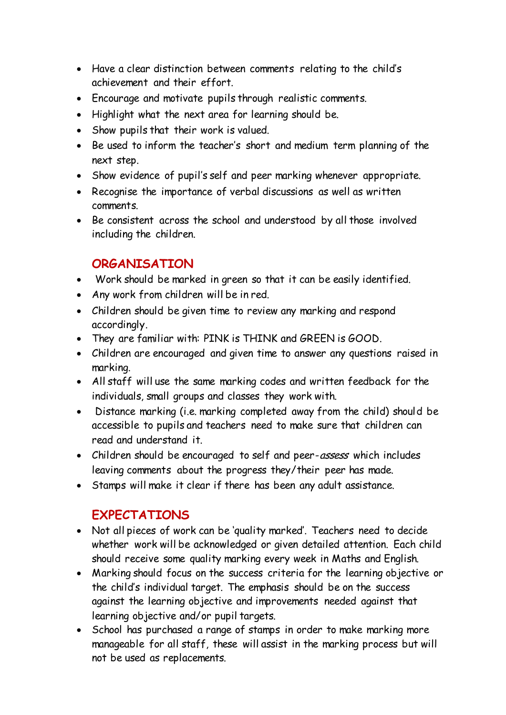- Have a clear distinction between comments relating to the child's achievement and their effort.
- Encourage and motivate pupils through realistic comments.
- Highlight what the next area for learning should be.
- Show pupils that their work is valued.
- Be used to inform the teacher's short and medium term planning of the next step.
- Show evidence of pupil's self and peer marking whenever appropriate.
- Recognise the importance of verbal discussions as well as written comments.
- Be consistent across the school and understood by all those involved including the children.

## **ORGANISATION**

- Work should be marked in green so that it can be easily identified.
- Any work from children will be in red.
- Children should be given time to review any marking and respond accordingly.
- They are familiar with: PINK is THINK and GREEN is GOOD.
- Children are encouraged and given time to answer any questions raised in marking.
- All staff will use the same marking codes and written feedback for the individuals, small groups and classes they work with.
- Distance marking (i.e. marking completed away from the child) should be accessible to pupils and teachers need to make sure that children can read and understand it.
- Children should be encouraged to self and peer-assess which includes leaving comments about the progress they/their peer has made.
- Stamps will make it clear if there has been any adult assistance.

## **EXPECTATIONS**

- Not all pieces of work can be 'quality marked'. Teachers need to decide whether work will be acknowledged or given detailed attention. Each child should receive some quality marking every week in Maths and English.
- Marking should focus on the success criteria for the learning objective or the child's individual target. The emphasis should be on the success against the learning objective and improvements needed against that learning objective and/or pupil targets.
- School has purchased a range of stamps in order to make marking more manageable for all staff, these will assist in the marking process but will not be used as replacements.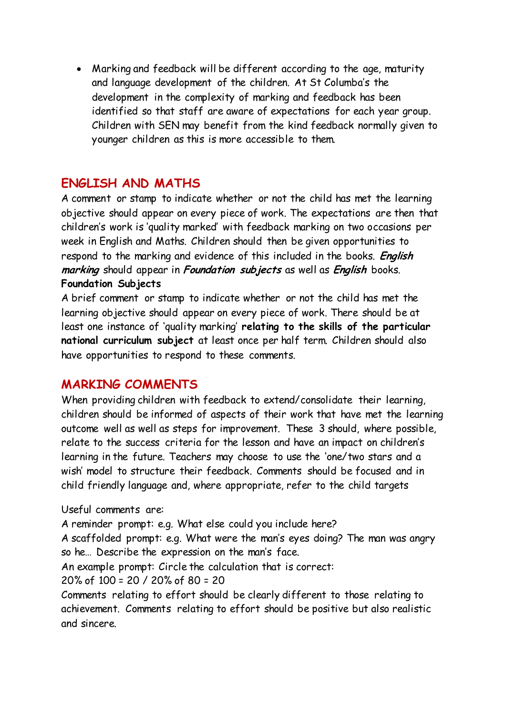Marking and feedback will be different according to the age, maturity and language development of the children. At St Columba's the development in the complexity of marking and feedback has been identified so that staff are aware of expectations for each year group. Children with SEN may benefit from the kind feedback normally given to younger children as this is more accessible to them.

### **ENGLISH AND MATHS**

A comment or stamp to indicate whether or not the child has met the learning objective should appear on every piece of work. The expectations are then that children's work is 'quality marked' with feedback marking on two occasions per week in English and Maths. Children should then be given opportunities to respond to the marking and evidence of this included in the books. **English marking** should appear in **Foundation subjects** as well as **English** books. **Foundation Subjects** 

A brief comment or stamp to indicate whether or not the child has met the learning objective should appear on every piece of work. There should be at least one instance of 'quality marking' **relating to the skills of the particular national curriculum subject** at least once per half term. Children should also have opportunities to respond to these comments.

### **MARKING COMMENTS**

When providing children with feedback to extend/consolidate their learning, children should be informed of aspects of their work that have met the learning outcome well as well as steps for improvement. These 3 should, where possible, relate to the success criteria for the lesson and have an impact on children's learning in the future. Teachers may choose to use the 'one/two stars and a wish' model to structure their feedback. Comments should be focused and in child friendly language and, where appropriate, refer to the child targets

Useful comments are:

A reminder prompt: e.g. What else could you include here?

A scaffolded prompt: e.g. What were the man's eyes doing? The man was angry so he… Describe the expression on the man's face.

An example prompt: Circle the calculation that is correct:

20% of 100 = 20 / 20% of 80 = 20

Comments relating to effort should be clearly different to those relating to achievement. Comments relating to effort should be positive but also realistic and sincere.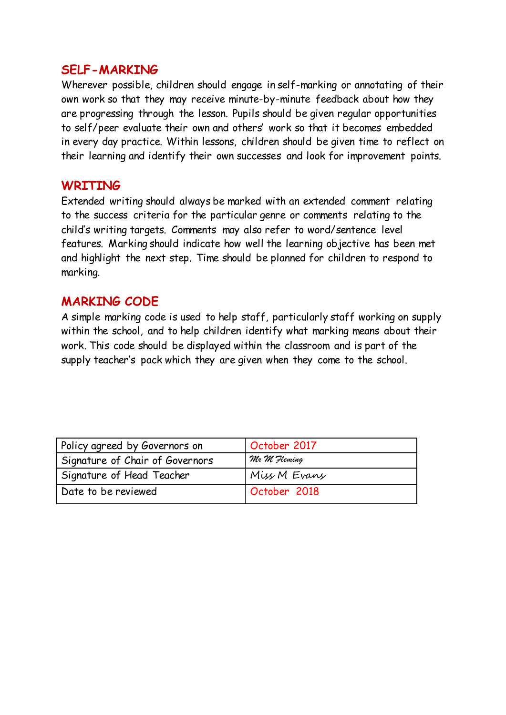#### **SELF-MARKING**

Wherever possible, children should engage in self-marking or annotating of their own work so that they may receive minute-by-minute feedback about how they are progressing through the lesson. Pupils should be given regular opportunities to self/peer evaluate their own and others' work so that it becomes embedded in every day practice. Within lessons, children should be given time to reflect on their learning and identify their own successes and look for improvement points.

#### **WRITING**

Extended writing should always be marked with an extended comment relating to the success criteria for the particular genre or comments relating to the child's writing targets. Comments may also refer to word/sentence level features. Marking should indicate how well the learning objective has been met and highlight the next step. Time should be planned for children to respond to marking.

### **MARKING CODE**

A simple marking code is used to help staff, particularly staff working on supply within the school, and to help children identify what marking means about their work. This code should be displayed within the classroom and is part of the supply teacher's pack which they are given when they come to the school.

| Policy agreed by Governors on   | October 2017 |
|---------------------------------|--------------|
| Signature of Chair of Governors | Mr M Fleming |
| Signature of Head Teacher       | Miss M Evans |
| Date to be reviewed             | October 2018 |